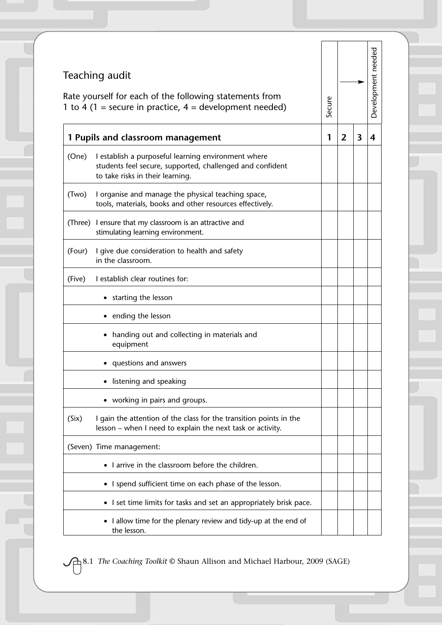| Teaching audit<br>Rate yourself for each of the following statements from<br>1 to 4 (1 = secure in practice, $4$ = development needed) |                                                                                                                                                      | Secure |                |                         | Development needed |
|----------------------------------------------------------------------------------------------------------------------------------------|------------------------------------------------------------------------------------------------------------------------------------------------------|--------|----------------|-------------------------|--------------------|
|                                                                                                                                        | 1 Pupils and classroom management                                                                                                                    | 1      | $\overline{2}$ | $\overline{\mathbf{3}}$ |                    |
| (One)                                                                                                                                  | I establish a purposeful learning environment where<br>students feel secure, supported, challenged and confident<br>to take risks in their learning. |        |                |                         |                    |
| (Two)                                                                                                                                  | I organise and manage the physical teaching space,<br>tools, materials, books and other resources effectively.                                       |        |                |                         |                    |
|                                                                                                                                        | (Three) I ensure that my classroom is an attractive and<br>stimulating learning environment.                                                         |        |                |                         |                    |
| (Four)                                                                                                                                 | I give due consideration to health and safety<br>in the classroom.                                                                                   |        |                |                         |                    |
| (Five)                                                                                                                                 | I establish clear routines for:                                                                                                                      |        |                |                         |                    |
|                                                                                                                                        | starting the lesson                                                                                                                                  |        |                |                         |                    |
|                                                                                                                                        | ending the lesson                                                                                                                                    |        |                |                         |                    |
|                                                                                                                                        | handing out and collecting in materials and<br>equipment                                                                                             |        |                |                         |                    |
|                                                                                                                                        | questions and answers                                                                                                                                |        |                |                         |                    |
|                                                                                                                                        | listening and speaking                                                                                                                               |        |                |                         |                    |
|                                                                                                                                        | working in pairs and groups.                                                                                                                         |        |                |                         |                    |
| (Six)                                                                                                                                  | I gain the attention of the class for the transition points in the<br>lesson – when I need to explain the next task or activity.                     |        |                |                         |                    |
|                                                                                                                                        | (Seven) Time management:                                                                                                                             |        |                |                         |                    |
|                                                                                                                                        | I arrive in the classroom before the children.                                                                                                       |        |                |                         |                    |
|                                                                                                                                        | • I spend sufficient time on each phase of the lesson.                                                                                               |        |                |                         |                    |
|                                                                                                                                        | • I set time limits for tasks and set an appropriately brisk pace.                                                                                   |        |                |                         |                    |
|                                                                                                                                        | I allow time for the plenary review and tidy-up at the end of<br>the lesson.                                                                         |        |                |                         |                    |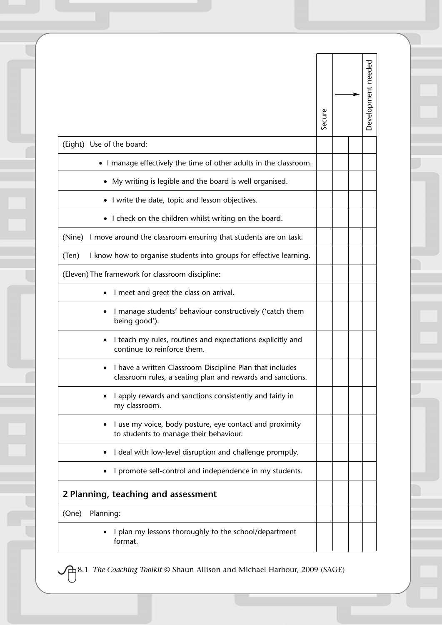|                                                                                                                        | Secure | Development needed |
|------------------------------------------------------------------------------------------------------------------------|--------|--------------------|
| (Eight) Use of the board:                                                                                              |        |                    |
| • I manage effectively the time of other adults in the classroom.                                                      |        |                    |
| My writing is legible and the board is well organised.                                                                 |        |                    |
| I write the date, topic and lesson objectives.                                                                         |        |                    |
| I check on the children whilst writing on the board.                                                                   |        |                    |
| I move around the classroom ensuring that students are on task.<br>(Nine)                                              |        |                    |
| I know how to organise students into groups for effective learning.<br>(Ten)                                           |        |                    |
| (Eleven) The framework for classroom discipline:                                                                       |        |                    |
| I meet and greet the class on arrival.                                                                                 |        |                    |
| I manage students' behaviour constructively ('catch them<br>being good').                                              |        |                    |
| I teach my rules, routines and expectations explicitly and<br>continue to reinforce them.                              |        |                    |
| I have a written Classroom Discipline Plan that includes<br>classroom rules, a seating plan and rewards and sanctions. |        |                    |
| I apply rewards and sanctions consistently and fairly in<br>my classroom.                                              |        |                    |
| I use my voice, body posture, eye contact and proximity<br>to students to manage their behaviour.                      |        |                    |
| I deal with low-level disruption and challenge promptly.                                                               |        |                    |
| I promote self-control and independence in my students.                                                                |        |                    |
| 2 Planning, teaching and assessment                                                                                    |        |                    |
| Planning:<br>(One)                                                                                                     |        |                    |
| I plan my lessons thoroughly to the school/department<br>format.                                                       |        |                    |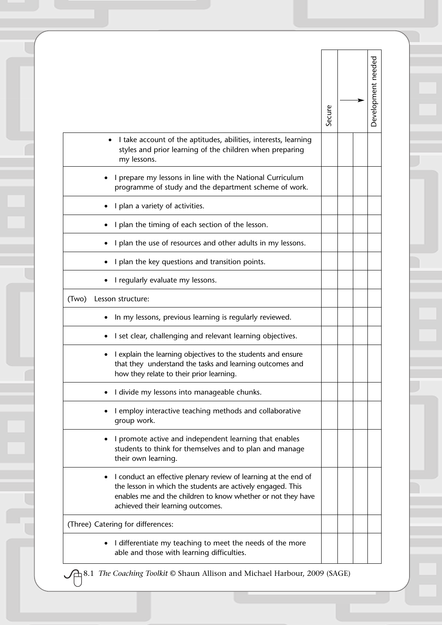|                                                                                                                                                                                                                                     |        |  | Development needed |
|-------------------------------------------------------------------------------------------------------------------------------------------------------------------------------------------------------------------------------------|--------|--|--------------------|
|                                                                                                                                                                                                                                     | Secure |  |                    |
| I take account of the aptitudes, abilities, interests, learning<br>styles and prior learning of the children when preparing<br>my lessons.                                                                                          |        |  |                    |
| I prepare my lessons in line with the National Curriculum<br>programme of study and the department scheme of work.                                                                                                                  |        |  |                    |
| I plan a variety of activities.                                                                                                                                                                                                     |        |  |                    |
| I plan the timing of each section of the lesson.                                                                                                                                                                                    |        |  |                    |
| I plan the use of resources and other adults in my lessons.                                                                                                                                                                         |        |  |                    |
| I plan the key questions and transition points.                                                                                                                                                                                     |        |  |                    |
| I regularly evaluate my lessons.                                                                                                                                                                                                    |        |  |                    |
| (Two)<br>Lesson structure:                                                                                                                                                                                                          |        |  |                    |
| In my lessons, previous learning is regularly reviewed.                                                                                                                                                                             |        |  |                    |
| I set clear, challenging and relevant learning objectives.                                                                                                                                                                          |        |  |                    |
| I explain the learning objectives to the students and ensure<br>that they understand the tasks and learning outcomes and<br>how they relate to their prior learning.                                                                |        |  |                    |
| I divide my lessons into manageable chunks.                                                                                                                                                                                         |        |  |                    |
| I employ interactive teaching methods and collaborative<br>group work.                                                                                                                                                              |        |  |                    |
| I promote active and independent learning that enables<br>students to think for themselves and to plan and manage<br>their own learning.                                                                                            |        |  |                    |
| I conduct an effective plenary review of learning at the end of<br>the lesson in which the students are actively engaged. This<br>enables me and the children to know whether or not they have<br>achieved their learning outcomes. |        |  |                    |
| (Three) Catering for differences:                                                                                                                                                                                                   |        |  |                    |
|                                                                                                                                                                                                                                     |        |  |                    |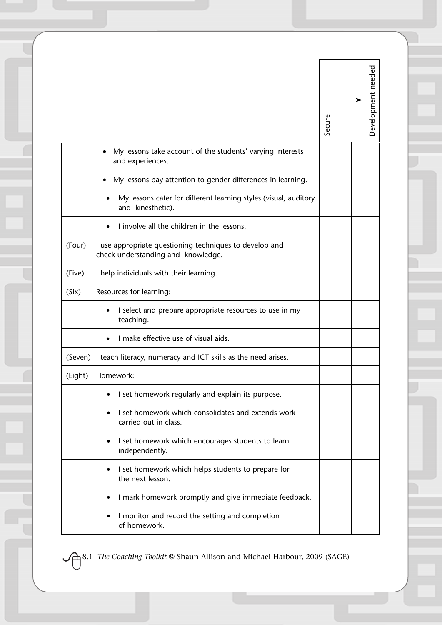|         |                                                                                               | Secure |  | Development needed |
|---------|-----------------------------------------------------------------------------------------------|--------|--|--------------------|
|         | My lessons take account of the students' varying interests<br>and experiences.                |        |  |                    |
|         | My lessons pay attention to gender differences in learning.                                   |        |  |                    |
|         | My lessons cater for different learning styles (visual, auditory<br>and kinesthetic).         |        |  |                    |
|         | I involve all the children in the lessons.                                                    |        |  |                    |
| (Four)  | I use appropriate questioning techniques to develop and<br>check understanding and knowledge. |        |  |                    |
| (Five)  | I help individuals with their learning.                                                       |        |  |                    |
| (Six)   | Resources for learning:                                                                       |        |  |                    |
|         | I select and prepare appropriate resources to use in my<br>teaching.                          |        |  |                    |
|         | I make effective use of visual aids.                                                          |        |  |                    |
|         | (Seven) I teach literacy, numeracy and ICT skills as the need arises.                         |        |  |                    |
| (Eight) | Homework:                                                                                     |        |  |                    |
|         | I set homework regularly and explain its purpose.                                             |        |  |                    |
|         | I set homework which consolidates and extends work<br>carried out in class.                   |        |  |                    |
|         | I set homework which encourages students to learn<br>independently.                           |        |  |                    |
|         | I set homework which helps students to prepare for<br>the next lesson.                        |        |  |                    |
|         | I mark homework promptly and give immediate feedback.                                         |        |  |                    |
|         | I monitor and record the setting and completion<br>of homework.                               |        |  |                    |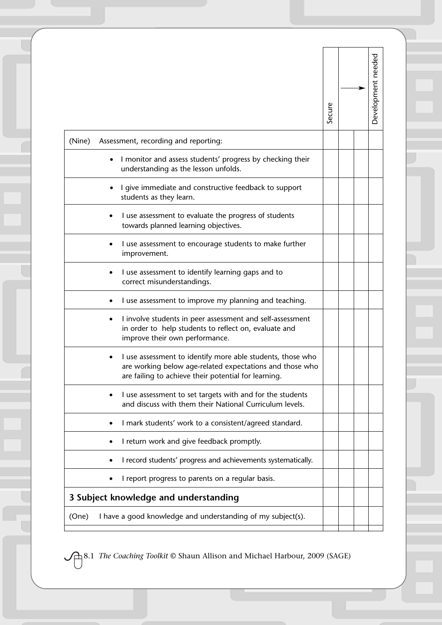|                                                                                                                                                                                | Secure | Development needed |
|--------------------------------------------------------------------------------------------------------------------------------------------------------------------------------|--------|--------------------|
| (Nine)<br>Assessment, recording and reporting:                                                                                                                                 |        |                    |
| I monitor and assess students' progress by checking their<br>understanding as the lesson unfolds.                                                                              |        |                    |
| I give immediate and constructive feedback to support<br>students as they learn.                                                                                               |        |                    |
| I use assessment to evaluate the progress of students<br>towards planned learning objectives.                                                                                  |        |                    |
| I use assessment to encourage students to make further<br>improvement.                                                                                                         |        |                    |
| I use assessment to identify learning gaps and to<br>correct misunderstandings.                                                                                                |        |                    |
| I use assessment to improve my planning and teaching.                                                                                                                          |        |                    |
| I involve students in peer assessment and self-assessment<br>in order to help students to reflect on, evaluate and<br>improve their own performance.                           |        |                    |
| I use assessment to identify more able students, those who<br>are working below age-related expectations and those who<br>are failing to achieve their potential for learning. |        |                    |
| I use assessment to set targets with and for the students<br>and discuss with them their National Curriculum levels.                                                           |        |                    |
| I mark students' work to a consistent/agreed standard.                                                                                                                         |        |                    |
| I return work and give feedback promptly.                                                                                                                                      |        |                    |
| I record students' progress and achievements systematically.                                                                                                                   |        |                    |
| I report progress to parents on a regular basis.                                                                                                                               |        |                    |
| 3 Subject knowledge and understanding                                                                                                                                          |        |                    |
| I have a good knowledge and understanding of my subject(s).<br>(One)                                                                                                           |        |                    |